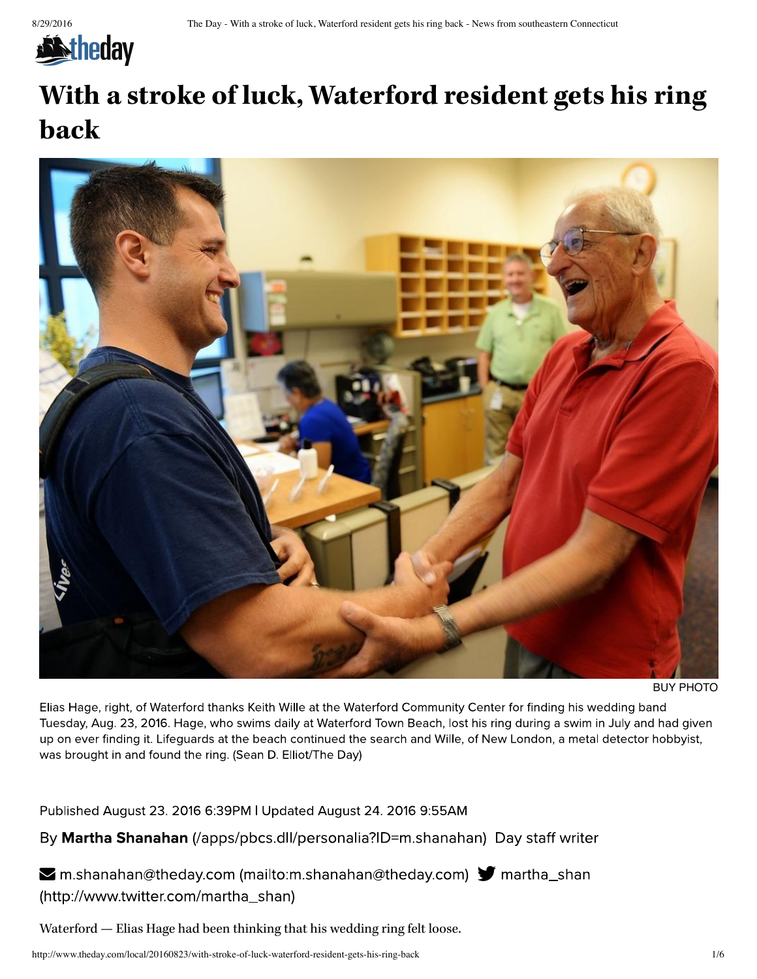

# **With a stroke of luck, Waterford resident gets his ring back**



BUY PHOTO

Elias Hage, right, of Waterford thanks Keith Wille at the Waterford Community Center for finding his wedding band Tuesday, Aug. 23, 2016. Hage, who swims daily at Waterford Town Beach, lost his ring during a swim in July and had given up on ever finding it. Lifeguards at the beach continued the search and Wille, of New London, a metal detector hobbyist, was brought in and found the ring. (Sean D. Elliot/The Day)

Published August 23. 2016 6:39PM | Updated August 24. 2016 9:55AM

By Martha Shanahan (/apps/pbcs.dll/personalia?ID=m.shanahan) Day staff writer

 $\blacktriangleright$  m.shanahan@theday.com (mailto:m.shanahan@theday.com)  $\blacktriangleright$  martha\_shan (http://www.twitter.com/martha\_shan)

Waterford — Elias Hage had been thinking that his wedding ring felt loose.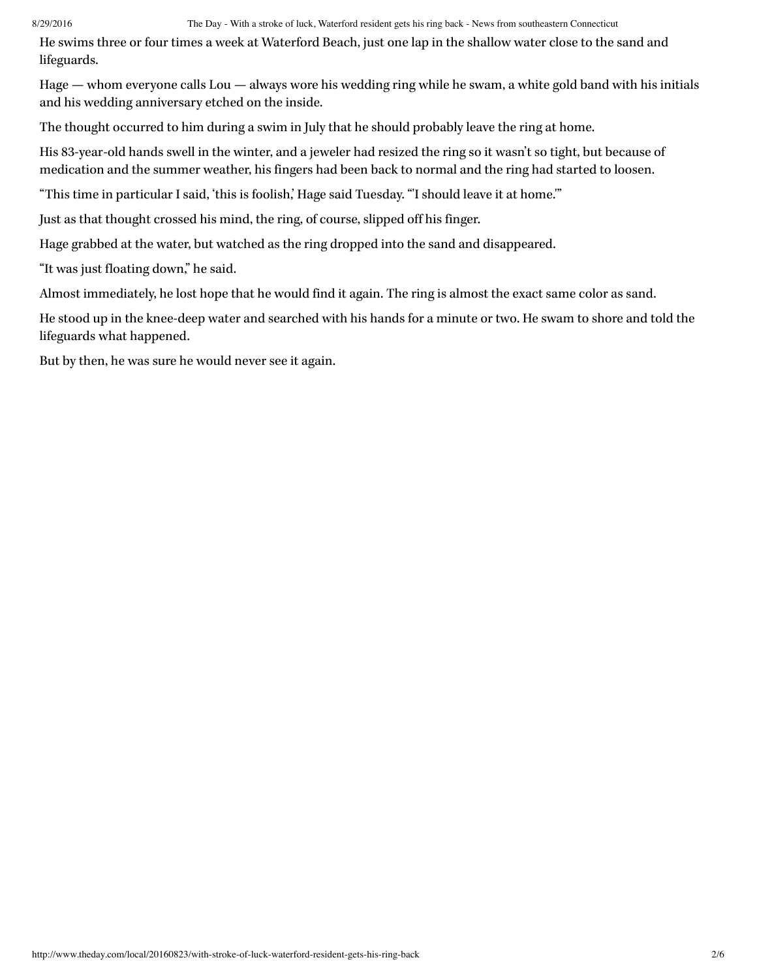He swims three or four times a week at Waterford Beach, just one lap in the shallow water close to the sand and lifeguards.

Hage — whom everyone calls Lou — always wore his wedding ring while he swam, a white gold band with his initials and his wedding anniversary etched on the inside.

The thought occurred to him during a swim in July that he should probably leave the ring at home.

His 83-year-old hands swell in the winter, and a jeweler had resized the ring so it wasn't so tight, but because of medication and the summer weather, his fingers had been back to normal and the ring had started to loosen.

"This time in particular I said, 'this is foolish,' Hage said Tuesday. "'I should leave it at home.'"

Just as that thought crossed his mind, the ring, of course, slipped off his finger.

Hage grabbed at the water, but watched as the ring dropped into the sand and disappeared.

"It was just floating down," he said.

Almost immediately, he lost hope that he would find it again. The ring is almost the exact same color as sand.

He stood up in the knee-deep water and searched with his hands for a minute or two. He swam to shore and told the lifeguards what happened.

But by then, he was sure he would never see it again.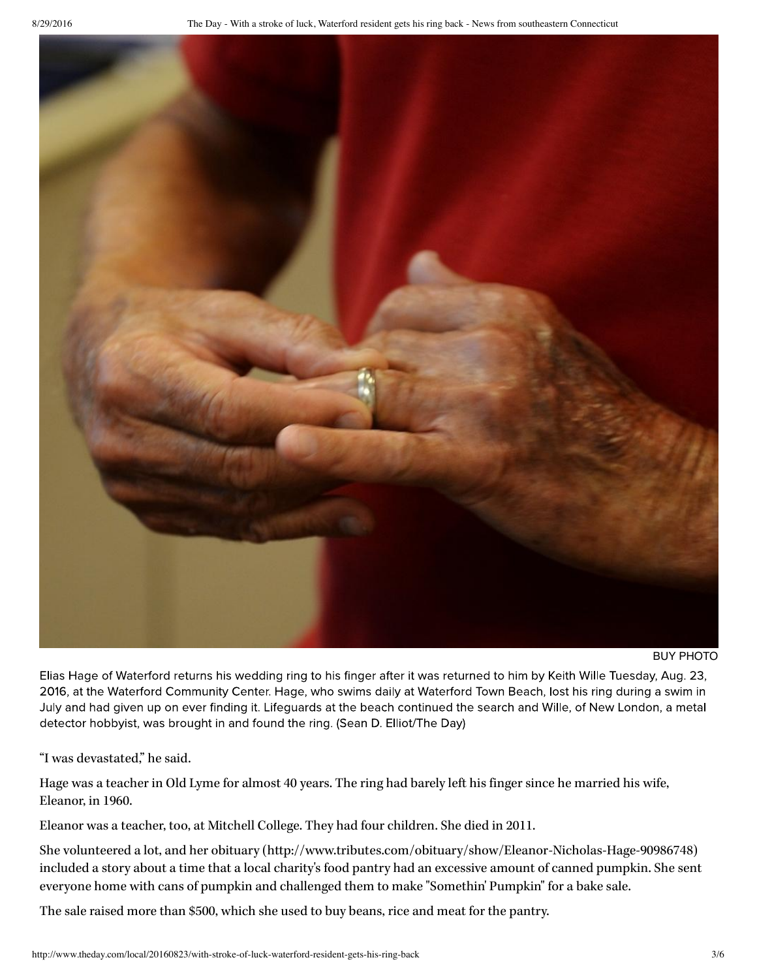

### BUY PHOTO

Elias Hage of Waterford returns his wedding ring to his finger after it was returned to him by Keith Wille Tuesday, Aug. 23, 2016, at the Waterford Community Center. Hage, who swims daily at Waterford Town Beach, lost his ring during a swim in July and had given up on ever finding it. Lifeguards at the beach continued the search and Wille, of New London, a metal detector hobbyist, was brought in and found the ring. (Sean D. Elliot/The Day)

"I was devastated," he said.

Hage was a teacher in Old Lyme for almost 40 years. The ring had barely left his finger since he married his wife, Eleanor, in 1960.

Eleanor was a teacher, too, at Mitchell College. They had four children. She died in 2011.

She volunteered a lot, and her obituary (http://www.tributes.com/obituary/show/Eleanor-Nicholas-Hage-90986748) included a story about a time that a local charity's food pantry had an excessive amount of canned pumpkin. She sent everyone home with cans of pumpkin and challenged them to make "Somethin' Pumpkin" for a bake sale.

The sale raised more than \$500, which she used to buy beans, rice and meat for the pantry.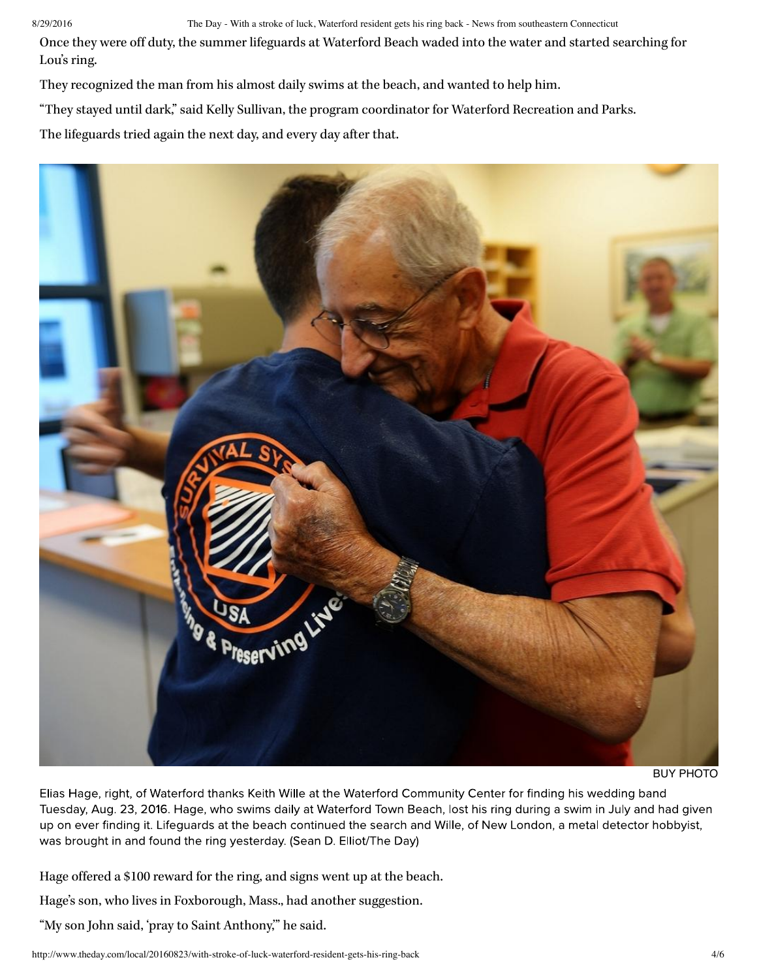Once they were off duty, the summer lifeguards at Waterford Beach waded into the water and started searching for Lou's ring.

They recognized the man from his almost daily swims at the beach, and wanted to help him.

"They stayed until dark," said Kelly Sullivan, the program coordinator for Waterford Recreation and Parks.

The lifeguards tried again the next day, and every day after that.



BUY PHOTO

Elias Hage, right, of Waterford thanks Keith Wille at the Waterford Community Center for finding his wedding band Tuesday, Aug. 23, 2016. Hage, who swims daily at Waterford Town Beach, lost his ring during a swim in July and had given up on ever finding it. Lifequards at the beach continued the search and Wille, of New London, a metal detector hobbyist, was brought in and found the ring yesterday. (Sean D. Elliot/The Day)

Hage offered a \$100 reward for the ring, and signs went up at the beach.

Hage's son, who lives in Foxborough, Mass., had another suggestion.

"My son John said, 'pray to Saint Anthony,'" he said.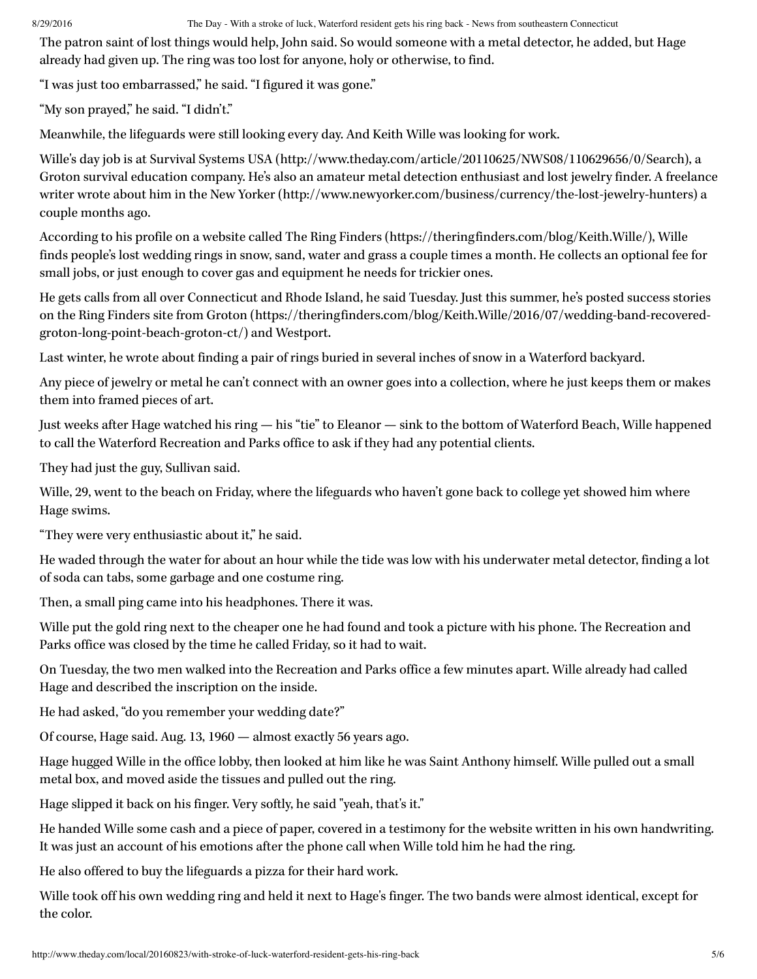The patron saint of lost things would help, John said. So would someone with a metal detector, he added, but Hage already had given up. The ring was too lost for anyone, holy or otherwise, to find.

"I was just too embarrassed," he said. "I figured it was gone."

"My son prayed," he said. "I didn't."

Meanwhile, the lifeguards were still looking every day. And Keith Wille was looking for work.

Wille's day job is at Survival Systems USA (http://www.theday.com/article/20110625/NWS08/110629656/0/Search), a Groton survival education company. He's also an amateur metal detection enthusiast and lost jewelry finder. A freelance writer wrote about him in the New Yorker (http://www.newyorker.com/business/currency/the-lost-jewelry-hunters) a couple months ago.

According to his profile on a website called The Ring Finders (https://theringfinders.com/blog/Keith.Wille/), Wille finds people's lost wedding rings in snow, sand, water and grass a couple times a month. He collects an optional fee for small jobs, or just enough to cover gas and equipment he needs for trickier ones.

He gets calls from all over Connecticut and Rhode Island, he said Tuesday. Just this summer, he's posted success stories on the Ring Finders site from Groton (https://theringfinders.com/blog/Keith.Wille/2016/07/wedding-band-recoveredgroton-long-point-beach-groton-ct/) and Westport.

Last winter, he wrote about finding a pair of rings buried in several inches of snow in a Waterford backyard.

Any piece of jewelry or metal he can't connect with an owner goes into a collection, where he just keeps them or makes them into framed pieces of art.

Just weeks after Hage watched his ring — his "tie" to Eleanor — sink to the bottom of Waterford Beach, Wille happened to call the Waterford Recreation and Parks office to ask if they had any potential clients.

They had just the guy, Sullivan said.

Wille, 29, went to the beach on Friday, where the lifeguards who haven't gone back to college yet showed him where Hage swims.

"They were very enthusiastic about it," he said.

He waded through the water for about an hour while the tide was low with his underwater metal detector, finding a lot of soda can tabs, some garbage and one costume ring.

Then, a small ping came into his headphones. There it was.

Wille put the gold ring next to the cheaper one he had found and took a picture with his phone. The Recreation and Parks office was closed by the time he called Friday, so it had to wait.

On Tuesday, the two men walked into the Recreation and Parks office a few minutes apart. Wille already had called Hage and described the inscription on the inside.

He had asked, "do you remember your wedding date?"

Of course, Hage said. Aug. 13, 1960 — almost exactly 56 years ago.

Hage hugged Wille in the office lobby, then looked at him like he was Saint Anthony himself. Wille pulled out a small metal box, and moved aside the tissues and pulled out the ring.

Hage slipped it back on his finger. Very softly, he said "yeah, that's it."

He handed Wille some cash and a piece of paper, covered in a testimony for the website written in his own handwriting. It was just an account of his emotions after the phone call when Wille told him he had the ring.

He also offered to buy the lifeguards a pizza for their hard work.

Wille took off his own wedding ring and held it next to Hage's finger. The two bands were almost identical, except for the color.